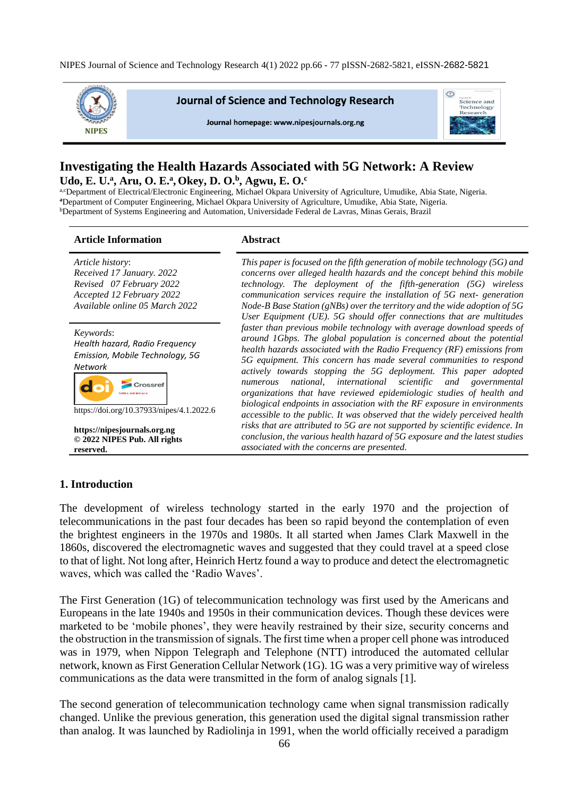NIPES Journal of Science and Technology Research 4(1) 2022 pp.66 - 77 pISSN-2682-5821, eISSN-2682-5821



# **Investigating the Health Hazards Associated with 5G Network: A Review Udo, E. U.<sup>a</sup> , Aru, O. E.<sup>a</sup> , Okey, D. O.<sup>b</sup> , Agwu, E. O.<sup>c</sup>**

a,cDepartment of Electrical/Electronic Engineering, Michael Okpara University of Agriculture, Umudike, Abia State, Nigeria. **<sup>a</sup>**Department of Computer Engineering, Michael Okpara University of Agriculture, Umudike, Abia State, Nigeria. <sup>b</sup>Department of Systems Engineering and Automation, Universidade Federal de Lavras, Minas Gerais, Brazil

**Article Information Abstract**

| Article history:<br>Received 17 January. 2022<br>Revised 07 February 2022<br>Accepted 12 February 2022<br>Available online 05 March 2022                                                                                   | This paper is focused on the fifth generation of mobile technology $(5G)$ and<br>concerns over alleged health hazards and the concept behind this mobile<br>technology. The deployment of the fifth-generation (5G) wireless<br>communication services require the installation of 5G next-generation<br>Node-B Base Station (gNBs) over the territory and the wide adoption of $5G$<br>User Equipment (UE). 5G should offer connections that are multitudes<br>faster than previous mobile technology with average download speeds of<br>around 1Gbps. The global population is concerned about the potential<br>health hazards associated with the Radio Frequency $(RF)$ emissions from<br>5G equipment. This concern has made several communities to respond<br>actively towards stopping the 5G deployment. This paper adopted<br>national, international scientific and governmental<br>numerous<br>organizations that have reviewed epidemiologic studies of health and<br>biological endpoints in association with the RF exposure in environments<br>accessible to the public. It was observed that the widely perceived health<br>risks that are attributed to 5G are not supported by scientific evidence. In<br>conclusion, the various health hazard of 5G exposure and the latest studies<br>associated with the concerns are presented. |
|----------------------------------------------------------------------------------------------------------------------------------------------------------------------------------------------------------------------------|--------------------------------------------------------------------------------------------------------------------------------------------------------------------------------------------------------------------------------------------------------------------------------------------------------------------------------------------------------------------------------------------------------------------------------------------------------------------------------------------------------------------------------------------------------------------------------------------------------------------------------------------------------------------------------------------------------------------------------------------------------------------------------------------------------------------------------------------------------------------------------------------------------------------------------------------------------------------------------------------------------------------------------------------------------------------------------------------------------------------------------------------------------------------------------------------------------------------------------------------------------------------------------------------------------------------------------------------------------|
| Keywords:<br>Health hazard, Radio Frequency<br>Emission, Mobile Technology, 5G<br><b>Network</b><br>https://doi.org/10.37933/nipes/4.1.2022.6<br>https://nipesjournals.org.ng<br>© 2022 NIPES Pub. All rights<br>reserved. |                                                                                                                                                                                                                                                                                                                                                                                                                                                                                                                                                                                                                                                                                                                                                                                                                                                                                                                                                                                                                                                                                                                                                                                                                                                                                                                                                        |

### **1. Introduction**

The development of wireless technology started in the early 1970 and the projection of telecommunications in the past four decades has been so rapid beyond the contemplation of even the brightest engineers in the 1970s and 1980s. It all started when James Clark Maxwell in the 1860s, discovered the electromagnetic waves and suggested that they could travel at a speed close to that of light. Not long after, Heinrich Hertz found a way to produce and detect the electromagnetic waves, which was called the 'Radio Waves'.

The First Generation (1G) of telecommunication technology was first used by the Americans and Europeans in the late 1940s and 1950s in their communication devices. Though these devices were marketed to be 'mobile phones', they were heavily restrained by their size, security concerns and the obstruction in the transmission of signals. The first time when a proper cell phone was introduced was in 1979, when Nippon Telegraph and Telephone (NTT) introduced the automated cellular network, known as First Generation Cellular Network (1G). 1G was a very primitive way of wireless communications as the data were transmitted in the form of analog signals [1].

The second generation of telecommunication technology came when signal transmission radically changed. Unlike the previous generation, this generation used the digital signal transmission rather than analog. It was launched by Radiolinja in 1991, when the world officially received a paradigm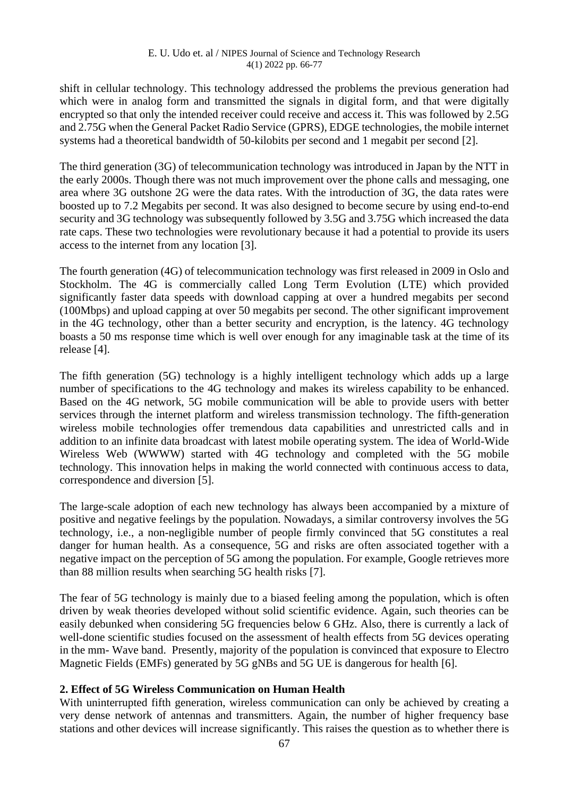#### E. U. Udo et. al / NIPES Journal of Science and Technology Research 4(1) 2022 pp. 66-77

shift in cellular technology. This technology addressed the problems the previous generation had which were in analog form and transmitted the signals in digital form, and that were digitally encrypted so that only the intended receiver could receive and access it. This was followed by 2.5G and 2.75G when the General Packet Radio Service (GPRS), EDGE technologies, the mobile internet systems had a theoretical bandwidth of 50-kilobits per second and 1 megabit per second [2].

The third generation (3G) of telecommunication technology was introduced in Japan by the NTT in the early 2000s. Though there was not much improvement over the phone calls and messaging, one area where 3G outshone 2G were the data rates. With the introduction of 3G, the data rates were boosted up to 7.2 Megabits per second. It was also designed to become secure by using end-to-end security and 3G technology was subsequently followed by 3.5G and 3.75G which increased the data rate caps. These two technologies were revolutionary because it had a potential to provide its users access to the internet from any location [3].

The fourth generation (4G) of telecommunication technology was first released in 2009 in Oslo and Stockholm. The 4G is commercially called Long Term Evolution (LTE) which provided significantly faster data speeds with download capping at over a hundred megabits per second (100Mbps) and upload capping at over 50 megabits per second. The other significant improvement in the 4G technology, other than a better security and encryption, is the latency. 4G technology boasts a 50 ms response time which is well over enough for any imaginable task at the time of its release [4].

The fifth generation (5G) technology is a highly intelligent technology which adds up a large number of specifications to the 4G technology and makes its wireless capability to be enhanced. Based on the 4G network, 5G mobile communication will be able to provide users with better services through the internet platform and wireless transmission technology. The fifth-generation wireless mobile technologies offer tremendous data capabilities and unrestricted calls and in addition to an infinite data broadcast with latest mobile operating system. The idea of World-Wide Wireless Web (WWWW) started with 4G technology and completed with the 5G mobile technology. This innovation helps in making the world connected with continuous access to data, correspondence and diversion [5].

The large-scale adoption of each new technology has always been accompanied by a mixture of positive and negative feelings by the population. Nowadays, a similar controversy involves the 5G technology, i.e., a non-negligible number of people firmly convinced that 5G constitutes a real danger for human health. As a consequence, 5G and risks are often associated together with a negative impact on the perception of 5G among the population. For example, Google retrieves more than 88 million results when searching 5G health risks [7].

The fear of 5G technology is mainly due to a biased feeling among the population, which is often driven by weak theories developed without solid scientific evidence. Again, such theories can be easily debunked when considering 5G frequencies below 6 GHz. Also, there is currently a lack of well-done scientific studies focused on the assessment of health effects from 5G devices operating in the mm- Wave band. Presently, majority of the population is convinced that exposure to Electro Magnetic Fields (EMFs) generated by 5G gNBs and 5G UE is dangerous for health [6].

#### **2. Effect of 5G Wireless Communication on Human Health**

With uninterrupted fifth generation, wireless communication can only be achieved by creating a very dense network of antennas and transmitters. Again, the number of higher frequency base stations and other devices will increase significantly. This raises the question as to whether there is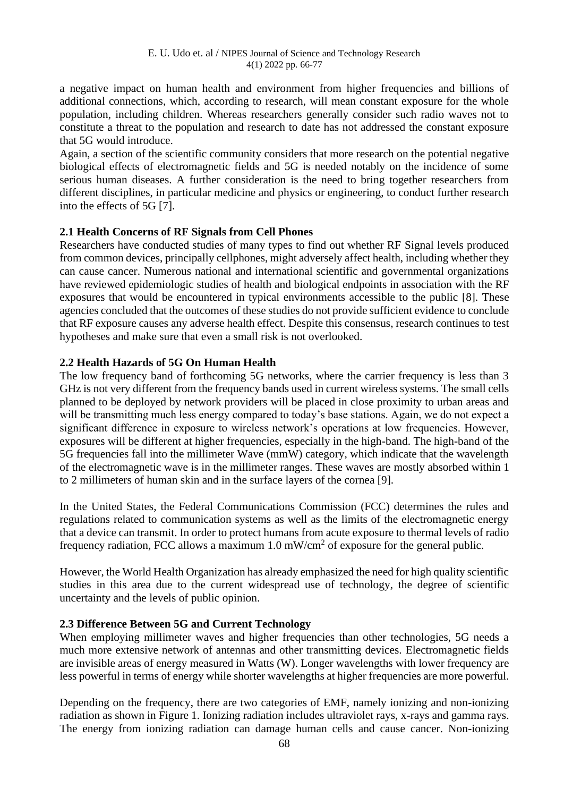a negative impact on human health and environment from higher frequencies and billions of additional connections, which, according to research, will mean constant exposure for the whole population, including children. Whereas researchers generally consider such radio waves not to constitute a threat to the population and research to date has not addressed the constant exposure that 5G would introduce.

Again, a section of the scientific community considers that more research on the potential negative biological effects of electromagnetic fields and 5G is needed notably on the incidence of some serious human diseases. A further consideration is the need to bring together researchers from different disciplines, in particular medicine and physics or engineering, to conduct further research into the effects of 5G [7].

### **2.1 Health Concerns of RF Signals from Cell Phones**

Researchers have conducted studies of many types to find out whether RF Signal levels produced from common devices, principally cellphones, might adversely affect health, including whether they can cause cancer. Numerous national and international scientific and governmental organizations have reviewed epidemiologic studies of health and biological endpoints in association with the RF exposures that would be encountered in typical environments accessible to the public [8]. These agencies concluded that the outcomes of these studies do not provide sufficient evidence to conclude that RF exposure causes any adverse health effect. Despite this consensus, research continues to test hypotheses and make sure that even a small risk is not overlooked.

### **2.2 Health Hazards of 5G On Human Health**

The low frequency band of forthcoming 5G networks, where the carrier frequency is less than 3 GHz is not very different from the frequency bands used in current wireless systems. The small cells planned to be deployed by network providers will be placed in close proximity to urban areas and will be transmitting much less energy compared to today's base stations. Again, we do not expect a significant difference in exposure to wireless network's operations at low frequencies. However, exposures will be different at higher frequencies, especially in the high-band. The high-band of the 5G frequencies fall into the millimeter Wave (mmW) category, which indicate that the wavelength of the electromagnetic wave is in the millimeter ranges. These waves are mostly absorbed within 1 to 2 millimeters of human skin and in the surface layers of the cornea [9].

In the United States, the Federal Communications Commission (FCC) determines the rules and regulations related to communication systems as well as the limits of the electromagnetic energy that a device can transmit. In order to protect humans from acute exposure to thermal levels of radio frequency radiation, FCC allows a maximum  $1.0 \text{ mW/cm}^2$  of exposure for the general public.

However, the World Health Organization has already emphasized the need for high quality scientific studies in this area due to the current widespread use of technology, the degree of scientific uncertainty and the levels of public opinion.

#### **2.3 Difference Between 5G and Current Technology**

When employing millimeter waves and higher frequencies than other technologies, 5G needs a much more extensive network of antennas and other transmitting devices. Electromagnetic fields are invisible areas of energy measured in Watts (W). Longer wavelengths with lower frequency are less powerful in terms of energy while shorter wavelengths at higher frequencies are more powerful.

Depending on the frequency, there are two categories of EMF, namely ionizing and non-ionizing radiation as shown in Figure 1. Ionizing radiation includes ultraviolet rays, x-rays and gamma rays. The energy from ionizing radiation can damage human cells and cause cancer. Non-ionizing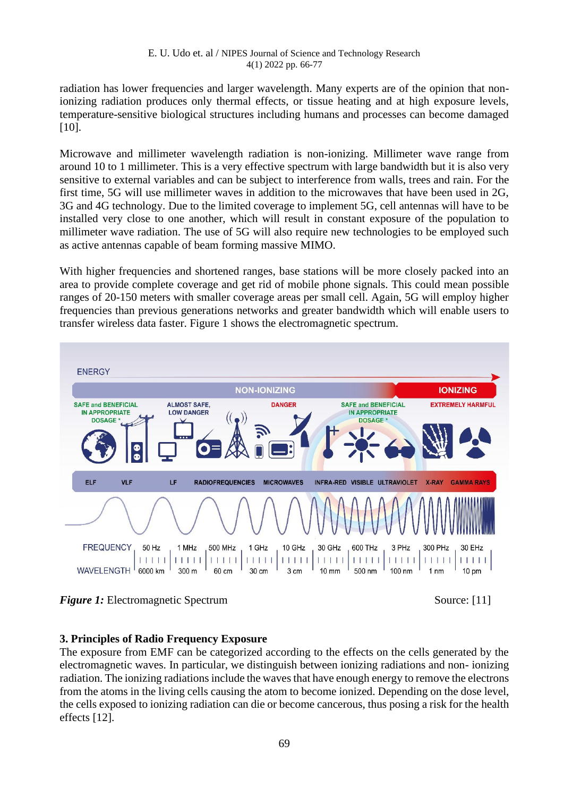radiation has lower frequencies and larger wavelength. Many experts are of the opinion that nonionizing radiation produces only thermal effects, or tissue heating and at high exposure levels, temperature-sensitive biological structures including humans and processes can become damaged [10].

Microwave and millimeter wavelength radiation is non-ionizing. Millimeter wave range from around 10 to 1 millimeter. This is a very effective spectrum with large bandwidth but it is also very sensitive to external variables and can be subject to interference from walls, trees and rain. For the first time, 5G will use millimeter waves in addition to the microwaves that have been used in 2G, 3G and 4G technology. Due to the limited coverage to implement 5G, cell antennas will have to be installed very close to one another, which will result in constant exposure of the population to millimeter wave radiation. The use of 5G will also require new technologies to be employed such as active antennas capable of beam forming massive MIMO.

With higher frequencies and shortened ranges, base stations will be more closely packed into an area to provide complete coverage and get rid of mobile phone signals. This could mean possible ranges of 20-150 meters with smaller coverage areas per small cell. Again, 5G will employ higher frequencies than previous generations networks and greater bandwidth which will enable users to transfer wireless data faster. Figure 1 shows the electromagnetic spectrum.



*Figure 1:* Electromagnetic Spectrum Source: [11]

# **3. Principles of Radio Frequency Exposure**

The exposure from EMF can be categorized according to the effects on the cells generated by the electromagnetic waves. In particular, we distinguish between ionizing radiations and non- ionizing radiation. The ionizing radiations include the waves that have enough energy to remove the electrons from the atoms in the living cells causing the atom to become ionized. Depending on the dose level, the cells exposed to ionizing radiation can die or become cancerous, thus posing a risk for the health effects [12].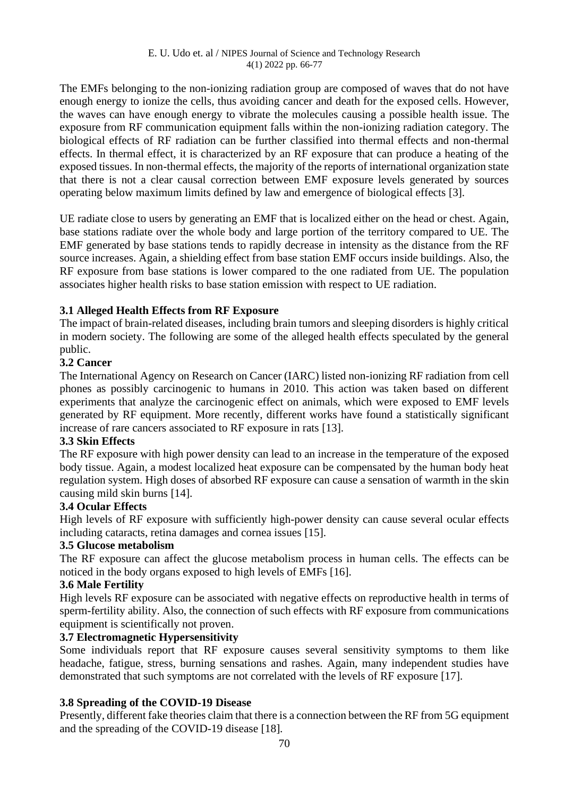The EMFs belonging to the non-ionizing radiation group are composed of waves that do not have enough energy to ionize the cells, thus avoiding cancer and death for the exposed cells. However, the waves can have enough energy to vibrate the molecules causing a possible health issue. The exposure from RF communication equipment falls within the non-ionizing radiation category. The biological effects of RF radiation can be further classified into thermal effects and non-thermal effects. In thermal effect, it is characterized by an RF exposure that can produce a heating of the exposed tissues. In non-thermal effects, the majority of the reports of international organization state that there is not a clear causal correction between EMF exposure levels generated by sources operating below maximum limits defined by law and emergence of biological effects [3].

UE radiate close to users by generating an EMF that is localized either on the head or chest. Again, base stations radiate over the whole body and large portion of the territory compared to UE. The EMF generated by base stations tends to rapidly decrease in intensity as the distance from the RF source increases. Again, a shielding effect from base station EMF occurs inside buildings. Also, the RF exposure from base stations is lower compared to the one radiated from UE. The population associates higher health risks to base station emission with respect to UE radiation.

### **3.1 Alleged Health Effects from RF Exposure**

The impact of brain-related diseases, including brain tumors and sleeping disorders is highly critical in modern society. The following are some of the alleged health effects speculated by the general public.

#### **3.2 Cancer**

The International Agency on Research on Cancer (IARC) listed non-ionizing RF radiation from cell phones as possibly carcinogenic to humans in 2010. This action was taken based on different experiments that analyze the carcinogenic effect on animals, which were exposed to EMF levels generated by RF equipment. More recently, different works have found a statistically significant increase of rare cancers associated to RF exposure in rats [13].

#### **3.3 Skin Effects**

The RF exposure with high power density can lead to an increase in the temperature of the exposed body tissue. Again, a modest localized heat exposure can be compensated by the human body heat regulation system. High doses of absorbed RF exposure can cause a sensation of warmth in the skin causing mild skin burns [14].

#### **3.4 Ocular Effects**

High levels of RF exposure with sufficiently high-power density can cause several ocular effects including cataracts, retina damages and cornea issues [15].

#### **3.5 Glucose metabolism**

The RF exposure can affect the glucose metabolism process in human cells. The effects can be noticed in the body organs exposed to high levels of EMFs [16].

### **3.6 Male Fertility**

High levels RF exposure can be associated with negative effects on reproductive health in terms of sperm-fertility ability. Also, the connection of such effects with RF exposure from communications equipment is scientifically not proven.

## **3.7 Electromagnetic Hypersensitivity**

Some individuals report that RF exposure causes several sensitivity symptoms to them like headache, fatigue, stress, burning sensations and rashes. Again, many independent studies have demonstrated that such symptoms are not correlated with the levels of RF exposure [17].

### **3.8 Spreading of the COVID-19 Disease**

Presently, different fake theories claim that there is a connection between the RF from 5G equipment and the spreading of the COVID-19 disease [18].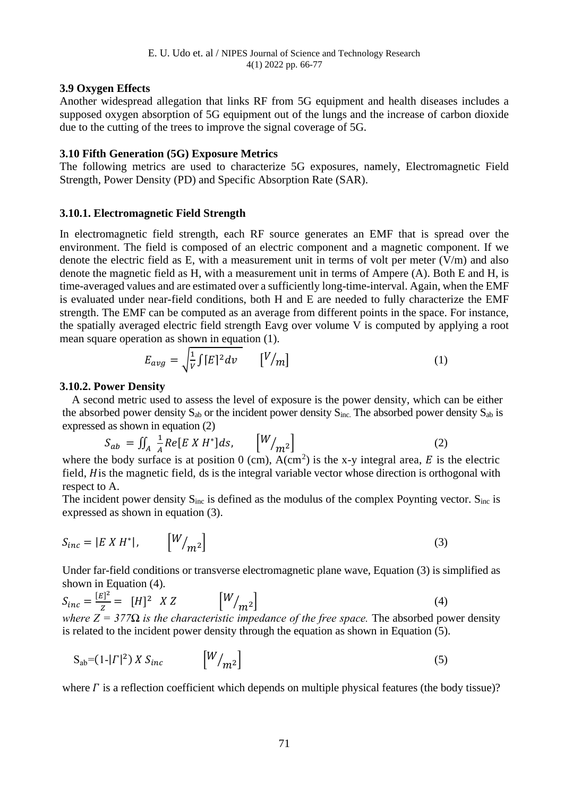### **3.9 Oxygen Effects**

Another widespread allegation that links RF from 5G equipment and health diseases includes a supposed oxygen absorption of 5G equipment out of the lungs and the increase of carbon dioxide due to the cutting of the trees to improve the signal coverage of 5G.

#### **3.10 Fifth Generation (5G) Exposure Metrics**

The following metrics are used to characterize 5G exposures, namely, Electromagnetic Field Strength, Power Density (PD) and Specific Absorption Rate (SAR).

### **3.10.1. Electromagnetic Field Strength**

In electromagnetic field strength, each RF source generates an EMF that is spread over the environment. The field is composed of an electric component and a magnetic component. If we denote the electric field as E, with a measurement unit in terms of volt per meter  $(V/m)$  and also denote the magnetic field as H, with a measurement unit in terms of Ampere (A). Both E and H, is time-averaged values and are estimated over a sufficiently long-time-interval. Again, when the EMF is evaluated under near-field conditions, both H and E are needed to fully characterize the EMF strength. The EMF can be computed as an average from different points in the space. For instance, the spatially averaged electric field strength Eavg over volume V is computed by applying a root mean square operation as shown in equation (1).

$$
E_{avg} = \sqrt{\frac{1}{V} \int [E]^2} dv \qquad [V/m]
$$
 (1)

### **3.10.2. Power Density**

A second metric used to assess the level of exposure is the power density, which can be either the absorbed power density  $S_{ab}$  or the incident power density  $S_{inc}$ . The absorbed power density  $S_{ab}$  is expressed as shown in equation (2)

$$
S_{ab} = \iint_A \frac{1}{A} Re[E X H^*] ds, \qquad \left[ \frac{W}{m^2} \right] \tag{2}
$$

where the body surface is at position  $0 \text{ (cm)}$ , A(cm<sup>2</sup>) is the x-y integral area, E is the electric field, *H* is the magnetic field, ds is the integral variable vector whose direction is orthogonal with respect to A.

The incident power density  $S_{inc}$  is defined as the modulus of the complex Poynting vector.  $S_{inc}$  is expressed as shown in equation (3).

$$
S_{inc} = |E \times H^*|, \qquad [W_{m^2}] \tag{3}
$$

Under far-field conditions or transverse electromagnetic plane wave, Equation (3) is simplified as shown in Equation (4).

$$
S_{inc} = \frac{[E]^2}{Z} = [H]^2 \, XZ \qquad \left[ \frac{W}{m^2} \right] \tag{4}
$$

*where Z = 377* $\Omega$  *is the characteristic impedance of the free space.* The absorbed power density is related to the incident power density through the equation as shown in Equation (5).

$$
S_{ab} = (1 - |\Gamma|^2) X S_{inc} \qquad \left[ \frac{W}{m^2} \right] \tag{5}
$$

where  $\Gamma$  is a reflection coefficient which depends on multiple physical features (the body tissue)?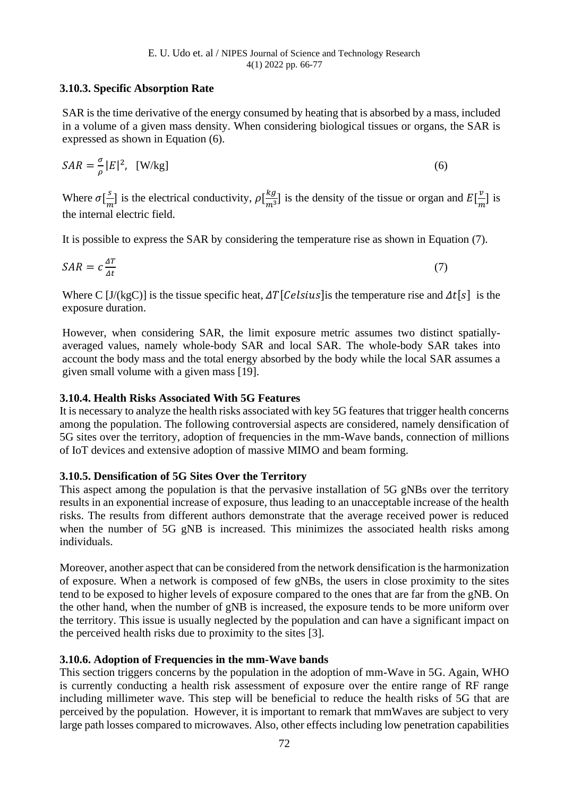### **3.10.3. Specific Absorption Rate**

SAR is the time derivative of the energy consumed by heating that is absorbed by a mass, included in a volume of a given mass density. When considering biological tissues or organs, the SAR is expressed as shown in Equation (6).

$$
SAR = \frac{\sigma}{\rho} |E|^2, \quad [W/kg]
$$
 (6)

Where  $\sigma\left[\frac{s}{m}\right]$  $\frac{s}{m}$ ] is the electrical conductivity,  $\rho\left[\frac{kg}{m^3}\right]$  $\frac{k g}{m^3}$ ] is the density of the tissue or organ and  $E\left[\frac{v}{m}\right]$  $\frac{v}{m}$ ] is the internal electric field.

It is possible to express the SAR by considering the temperature rise as shown in Equation (7).

$$
SAR = c\frac{\Delta T}{\Delta t} \tag{7}
$$

Where C [J/(kgC)] is the tissue specific heat,  $\Delta T$ [Celsius] is the temperature rise and  $\Delta t$ [s] is the exposure duration.

However, when considering SAR, the limit exposure metric assumes two distinct spatiallyaveraged values, namely whole-body SAR and local SAR. The whole-body SAR takes into account the body mass and the total energy absorbed by the body while the local SAR assumes a given small volume with a given mass [19].

#### **3.10.4. Health Risks Associated With 5G Features**

It is necessary to analyze the health risks associated with key 5G features that trigger health concerns among the population. The following controversial aspects are considered, namely densification of 5G sites over the territory, adoption of frequencies in the mm-Wave bands, connection of millions of IoT devices and extensive adoption of massive MIMO and beam forming.

#### **3.10.5. Densification of 5G Sites Over the Territory**

This aspect among the population is that the pervasive installation of 5G gNBs over the territory results in an exponential increase of exposure, thus leading to an unacceptable increase of the health risks. The results from different authors demonstrate that the average received power is reduced when the number of 5G gNB is increased. This minimizes the associated health risks among individuals.

Moreover, another aspect that can be considered from the network densification is the harmonization of exposure. When a network is composed of few gNBs, the users in close proximity to the sites tend to be exposed to higher levels of exposure compared to the ones that are far from the gNB. On the other hand, when the number of gNB is increased, the exposure tends to be more uniform over the territory. This issue is usually neglected by the population and can have a significant impact on the perceived health risks due to proximity to the sites [3].

#### **3.10.6. Adoption of Frequencies in the mm-Wave bands**

This section triggers concerns by the population in the adoption of mm-Wave in 5G. Again, WHO is currently conducting a health risk assessment of exposure over the entire range of RF range including millimeter wave. This step will be beneficial to reduce the health risks of 5G that are perceived by the population. However, it is important to remark that mmWaves are subject to very large path losses compared to microwaves. Also, other effects including low penetration capabilities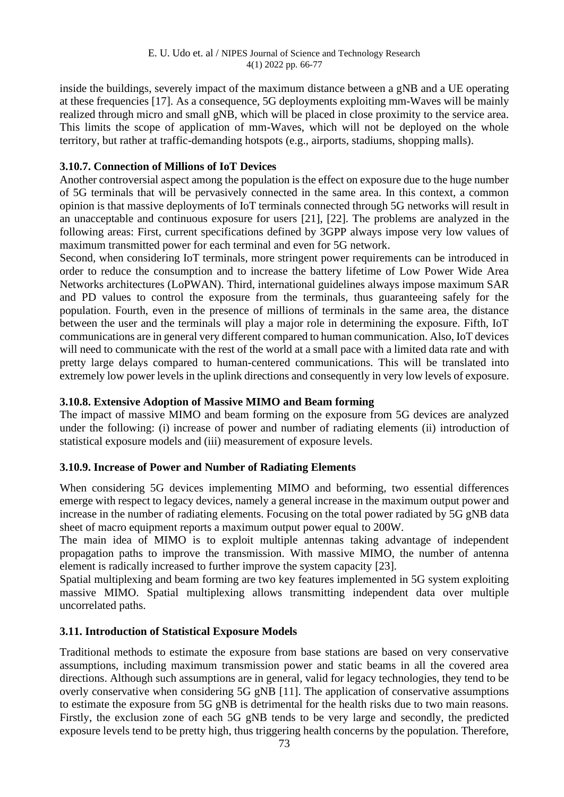inside the buildings, severely impact of the maximum distance between a gNB and a UE operating at these frequencies [17]. As a consequence, 5G deployments exploiting mm-Waves will be mainly realized through micro and small gNB, which will be placed in close proximity to the service area. This limits the scope of application of mm-Waves, which will not be deployed on the whole territory, but rather at traffic-demanding hotspots (e.g., airports, stadiums, shopping malls).

### **3.10.7. Connection of Millions of IoT Devices**

Another controversial aspect among the population is the effect on exposure due to the huge number of 5G terminals that will be pervasively connected in the same area. In this context, a common opinion is that massive deployments of IoT terminals connected through 5G networks will result in an unacceptable and continuous exposure for users [21], [22]. The problems are analyzed in the following areas: First, current specifications defined by 3GPP always impose very low values of maximum transmitted power for each terminal and even for 5G network.

Second, when considering IoT terminals, more stringent power requirements can be introduced in order to reduce the consumption and to increase the battery lifetime of Low Power Wide Area Networks architectures (LoPWAN). Third, international guidelines always impose maximum SAR and PD values to control the exposure from the terminals, thus guaranteeing safely for the population. Fourth, even in the presence of millions of terminals in the same area, the distance between the user and the terminals will play a major role in determining the exposure. Fifth, IoT communications are in general very different compared to human communication. Also, IoT devices will need to communicate with the rest of the world at a small pace with a limited data rate and with pretty large delays compared to human-centered communications. This will be translated into extremely low power levels in the uplink directions and consequently in very low levels of exposure.

#### **3.10.8. Extensive Adoption of Massive MIMO and Beam forming**

The impact of massive MIMO and beam forming on the exposure from 5G devices are analyzed under the following: (i) increase of power and number of radiating elements (ii) introduction of statistical exposure models and (iii) measurement of exposure levels.

### **3.10.9. Increase of Power and Number of Radiating Elements**

When considering 5G devices implementing MIMO and beforming, two essential differences emerge with respect to legacy devices, namely a general increase in the maximum output power and increase in the number of radiating elements. Focusing on the total power radiated by 5G gNB data sheet of macro equipment reports a maximum output power equal to 200W.

The main idea of MIMO is to exploit multiple antennas taking advantage of independent propagation paths to improve the transmission. With massive MIMO, the number of antenna element is radically increased to further improve the system capacity [23].

Spatial multiplexing and beam forming are two key features implemented in 5G system exploiting massive MIMO. Spatial multiplexing allows transmitting independent data over multiple uncorrelated paths.

### **3.11. Introduction of Statistical Exposure Models**

Traditional methods to estimate the exposure from base stations are based on very conservative assumptions, including maximum transmission power and static beams in all the covered area directions. Although such assumptions are in general, valid for legacy technologies, they tend to be overly conservative when considering 5G gNB [11]. The application of conservative assumptions to estimate the exposure from 5G gNB is detrimental for the health risks due to two main reasons. Firstly, the exclusion zone of each 5G gNB tends to be very large and secondly, the predicted exposure levels tend to be pretty high, thus triggering health concerns by the population. Therefore,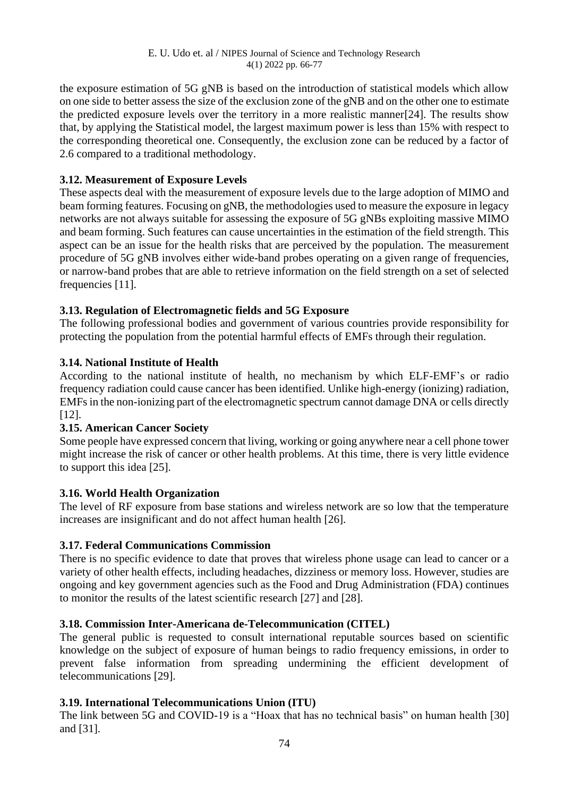the exposure estimation of 5G gNB is based on the introduction of statistical models which allow on one side to better assess the size of the exclusion zone of the gNB and on the other one to estimate the predicted exposure levels over the territory in a more realistic manner[24]. The results show that, by applying the Statistical model, the largest maximum power is less than 15% with respect to the corresponding theoretical one. Consequently, the exclusion zone can be reduced by a factor of 2.6 compared to a traditional methodology.

## **3.12. Measurement of Exposure Levels**

These aspects deal with the measurement of exposure levels due to the large adoption of MIMO and beam forming features. Focusing on gNB, the methodologies used to measure the exposure in legacy networks are not always suitable for assessing the exposure of 5G gNBs exploiting massive MIMO and beam forming. Such features can cause uncertainties in the estimation of the field strength. This aspect can be an issue for the health risks that are perceived by the population. The measurement procedure of 5G gNB involves either wide-band probes operating on a given range of frequencies, or narrow-band probes that are able to retrieve information on the field strength on a set of selected frequencies [11].

## **3.13. Regulation of Electromagnetic fields and 5G Exposure**

The following professional bodies and government of various countries provide responsibility for protecting the population from the potential harmful effects of EMFs through their regulation.

## **3.14. National Institute of Health**

According to the national institute of health, no mechanism by which ELF-EMF's or radio frequency radiation could cause cancer has been identified. Unlike high-energy (ionizing) radiation, EMFs in the non-ionizing part of the electromagnetic spectrum cannot damage DNA or cells directly [12].

### **3.15. American Cancer Society**

Some people have expressed concern that living, working or going anywhere near a cell phone tower might increase the risk of cancer or other health problems. At this time, there is very little evidence to support this idea [25].

### **3.16. World Health Organization**

The level of RF exposure from base stations and wireless network are so low that the temperature increases are insignificant and do not affect human health [26].

### **3.17. Federal Communications Commission**

There is no specific evidence to date that proves that wireless phone usage can lead to cancer or a variety of other health effects, including headaches, dizziness or memory loss. However, studies are ongoing and key government agencies such as the Food and Drug Administration (FDA) continues to monitor the results of the latest scientific research [27] and [28].

### **3.18. Commission Inter-Americana de-Telecommunication (CITEL)**

The general public is requested to consult international reputable sources based on scientific knowledge on the subject of exposure of human beings to radio frequency emissions, in order to prevent false information from spreading undermining the efficient development of telecommunications [29].

### **3.19. International Telecommunications Union (ITU)**

The link between 5G and COVID-19 is a "Hoax that has no technical basis" on human health [30] and [31].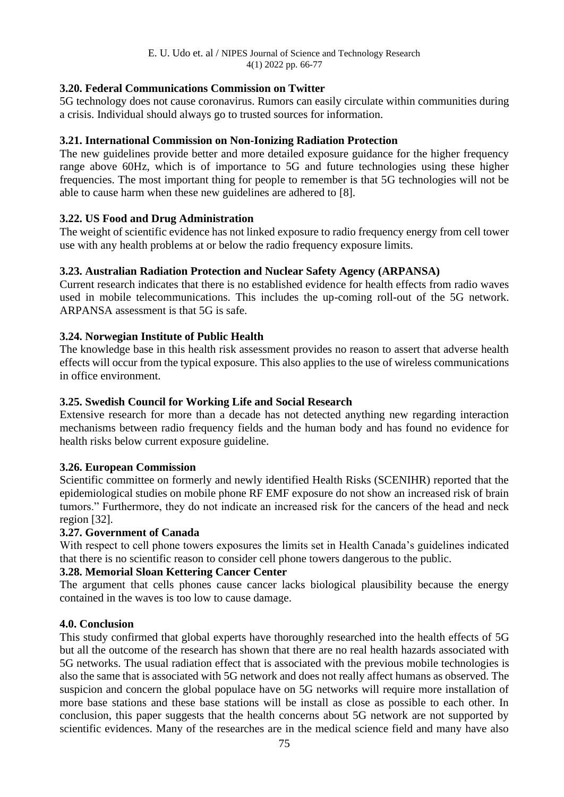## **3.20. Federal Communications Commission on Twitter**

5G technology does not cause coronavirus. Rumors can easily circulate within communities during a crisis. Individual should always go to trusted sources for information.

## **3.21. International Commission on Non-Ionizing Radiation Protection**

The new guidelines provide better and more detailed exposure guidance for the higher frequency range above 60Hz, which is of importance to 5G and future technologies using these higher frequencies. The most important thing for people to remember is that 5G technologies will not be able to cause harm when these new guidelines are adhered to [8].

## **3.22. US Food and Drug Administration**

The weight of scientific evidence has not linked exposure to radio frequency energy from cell tower use with any health problems at or below the radio frequency exposure limits.

## **3.23. Australian Radiation Protection and Nuclear Safety Agency (ARPANSA)**

Current research indicates that there is no established evidence for health effects from radio waves used in mobile telecommunications. This includes the up-coming roll-out of the 5G network. ARPANSA assessment is that 5G is safe.

## **3.24. Norwegian Institute of Public Health**

The knowledge base in this health risk assessment provides no reason to assert that adverse health effects will occur from the typical exposure. This also applies to the use of wireless communications in office environment.

### **3.25. Swedish Council for Working Life and Social Research**

Extensive research for more than a decade has not detected anything new regarding interaction mechanisms between radio frequency fields and the human body and has found no evidence for health risks below current exposure guideline.

### **3.26. European Commission**

Scientific committee on formerly and newly identified Health Risks (SCENIHR) reported that the epidemiological studies on mobile phone RF EMF exposure do not show an increased risk of brain tumors." Furthermore, they do not indicate an increased risk for the cancers of the head and neck region [32].

### **3.27. Government of Canada**

With respect to cell phone towers exposures the limits set in Health Canada's guidelines indicated that there is no scientific reason to consider cell phone towers dangerous to the public.

### **3.28. Memorial Sloan Kettering Cancer Center**

The argument that cells phones cause cancer lacks biological plausibility because the energy contained in the waves is too low to cause damage.

### **4.0. Conclusion**

This study confirmed that global experts have thoroughly researched into the health effects of 5G but all the outcome of the research has shown that there are no real health hazards associated with 5G networks. The usual radiation effect that is associated with the previous mobile technologies is also the same that is associated with 5G network and does not really affect humans as observed. The suspicion and concern the global populace have on 5G networks will require more installation of more base stations and these base stations will be install as close as possible to each other. In conclusion, this paper suggests that the health concerns about 5G network are not supported by scientific evidences. Many of the researches are in the medical science field and many have also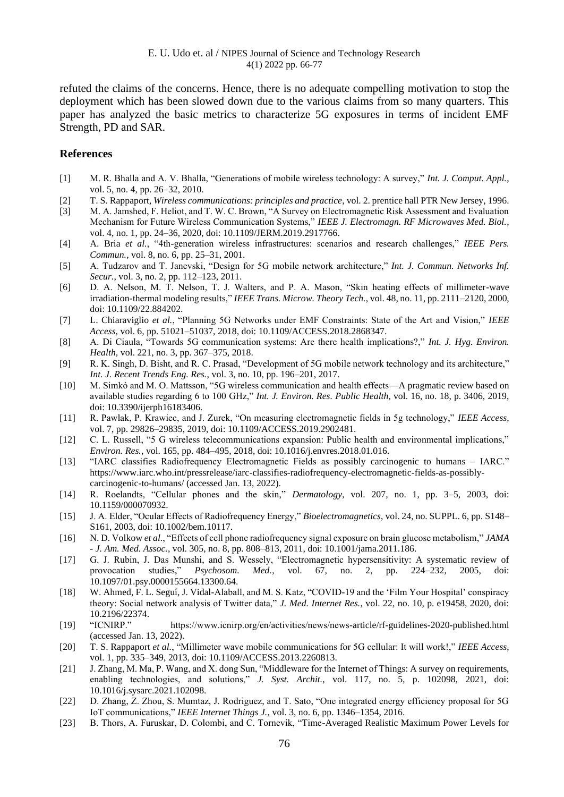refuted the claims of the concerns. Hence, there is no adequate compelling motivation to stop the deployment which has been slowed down due to the various claims from so many quarters. This paper has analyzed the basic metrics to characterize 5G exposures in terms of incident EMF Strength, PD and SAR.

#### **References**

- [1] M. R. Bhalla and A. V. Bhalla, "Generations of mobile wireless technology: A survey," *Int. J. Comput. Appl.*, vol. 5, no. 4, pp. 26–32, 2010.
- [2] T. S. Rappaport, *Wireless communications: principles and practice*, vol. 2. prentice hall PTR New Jersey, 1996.
- [3] M. A. Jamshed, F. Heliot, and T. W. C. Brown, "A Survey on Electromagnetic Risk Assessment and Evaluation Mechanism for Future Wireless Communication Systems," *IEEE J. Electromagn. RF Microwaves Med. Biol.*, vol. 4, no. 1, pp. 24–36, 2020, doi: 10.1109/JERM.2019.2917766.
- [4] A. Bria *et al.*, "4th-generation wireless infrastructures: scenarios and research challenges," *IEEE Pers. Commun.*, vol. 8, no. 6, pp. 25–31, 2001.
- [5] A. Tudzarov and T. Janevski, "Design for 5G mobile network architecture," *Int. J. Commun. Networks Inf. Secur.*, vol. 3, no. 2, pp. 112–123, 2011.
- [6] D. A. Nelson, M. T. Nelson, T. J. Walters, and P. A. Mason, "Skin heating effects of millimeter-wave irradiation-thermal modeling results," *IEEE Trans. Microw. Theory Tech.*, vol. 48, no. 11, pp. 2111–2120, 2000, doi: 10.1109/22.884202.
- [7] L. Chiaraviglio *et al.*, "Planning 5G Networks under EMF Constraints: State of the Art and Vision," *IEEE Access*, vol. 6, pp. 51021–51037, 2018, doi: 10.1109/ACCESS.2018.2868347.
- [8] A. Di Ciaula, "Towards 5G communication systems: Are there health implications?," *Int. J. Hyg. Environ. Health*, vol. 221, no. 3, pp. 367–375, 2018.
- [9] R. K. Singh, D. Bisht, and R. C. Prasad, "Development of 5G mobile network technology and its architecture," *Int. J. Recent Trends Eng. Res.*, vol. 3, no. 10, pp. 196–201, 2017.
- [10] M. Simkó and M. O. Mattsson, "5G wireless communication and health effects—A pragmatic review based on available studies regarding 6 to 100 GHz," *Int. J. Environ. Res. Public Health*, vol. 16, no. 18, p. 3406, 2019, doi: 10.3390/ijerph16183406.
- [11] R. Pawlak, P. Krawiec, and J. Zurek, "On measuring electromagnetic fields in 5g technology," *IEEE Access*, vol. 7, pp. 29826–29835, 2019, doi: 10.1109/ACCESS.2019.2902481.
- [12] C. L. Russell, "5 G wireless telecommunications expansion: Public health and environmental implications," *Environ. Res.*, vol. 165, pp. 484–495, 2018, doi: 10.1016/j.envres.2018.01.016.
- [13] "IARC classifies Radiofrequency Electromagnetic Fields as possibly carcinogenic to humans IARC." https://www.iarc.who.int/pressrelease/iarc-classifies-radiofrequency-electromagnetic-fields-as-possiblycarcinogenic-to-humans/ (accessed Jan. 13, 2022).
- [14] R. Roelandts, "Cellular phones and the skin," *Dermatology*, vol. 207, no. 1, pp. 3–5, 2003, doi: 10.1159/000070932.
- [15] J. A. Elder, "Ocular Effects of Radiofrequency Energy," *Bioelectromagnetics*, vol. 24, no. SUPPL. 6, pp. S148– S161, 2003, doi: 10.1002/bem.10117.
- [16] N. D. Volkow *et al.*, "Effects of cell phone radiofrequency signal exposure on brain glucose metabolism," *JAMA - J. Am. Med. Assoc.*, vol. 305, no. 8, pp. 808–813, 2011, doi: 10.1001/jama.2011.186.
- [17] G. J. Rubin, J. Das Munshi, and S. Wessely, "Electromagnetic hypersensitivity: A systematic review of provocation studies," *Psychosom. Med.*, vol. 67, no. 2, pp. 224–232, 2005, doi: 10.1097/01.psy.0000155664.13300.64.
- [18] W. Ahmed, F. L. Seguí, J. Vidal-Alaball, and M. S. Katz, "COVID-19 and the 'Film Your Hospital' conspiracy theory: Social network analysis of Twitter data," *J. Med. Internet Res.*, vol. 22, no. 10, p. e19458, 2020, doi: 10.2196/22374.
- [19] "ICNIRP." https://www.icnirp.org/en/activities/news/news-article/rf-guidelines-2020-published.html (accessed Jan. 13, 2022).
- [20] T. S. Rappaport *et al.*, "Millimeter wave mobile communications for 5G cellular: It will work!," *IEEE Access*, vol. 1, pp. 335–349, 2013, doi: 10.1109/ACCESS.2013.2260813.
- [21] J. Zhang, M. Ma, P. Wang, and X. dong Sun, "Middleware for the Internet of Things: A survey on requirements, enabling technologies, and solutions," *J. Syst. Archit.*, vol. 117, no. 5, p. 102098, 2021, doi: 10.1016/j.sysarc.2021.102098.
- [22] D. Zhang, Z. Zhou, S. Mumtaz, J. Rodriguez, and T. Sato, "One integrated energy efficiency proposal for 5G IoT communications," *IEEE Internet Things J.*, vol. 3, no. 6, pp. 1346–1354, 2016.
- [23] B. Thors, A. Furuskar, D. Colombi, and C. Tornevik, "Time-Averaged Realistic Maximum Power Levels for